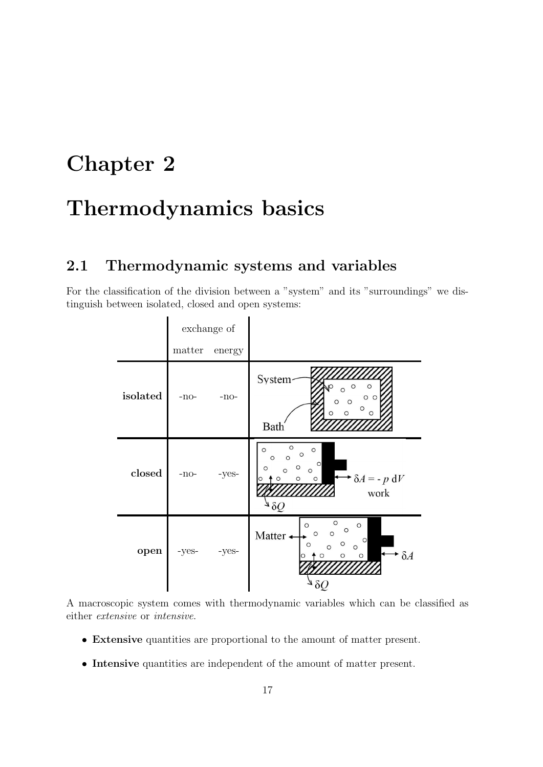## Chapter 2

# Thermodynamics basics

## 2.1 Thermodynamic systems and variables

For the classification of the division between a "system" and its "surroundings" we distinguish between isolated, closed and open systems:

|          | exchange of |        |                                                                                                                                                                                          |
|----------|-------------|--------|------------------------------------------------------------------------------------------------------------------------------------------------------------------------------------------|
|          | matter      | energy |                                                                                                                                                                                          |
| isolated | $-no-$      | $-no-$ | System<br>$\circ$<br>O<br>O <sub>C</sub><br>$\circ$<br>$\circ$<br>O<br>$\circ$<br>$\circ$<br>Bath                                                                                        |
| closed   | -no-        | -yes-  | $\circ$<br>$\circ$<br>$\circ$<br>$\circ$<br>$\circ$<br>$\circ$<br>$\circ$<br>$\circ$<br>$\circ$<br>$\circ$<br>$\rightarrow \delta A = -p \, dV$<br>$\circ$<br>$\circ$<br>$\circ$<br>work |
| open     | -yes-       | -yes-  | $\circ$<br>$\circ$<br>$\circ$<br>$\circ$<br>Matter +<br>$\circ$<br>$\Omega$<br>$\circ$<br>$\circ$<br>O<br>$\circ$<br>$\circ$<br>$\mathcal{S}A$<br>$\circ$<br>$\circ$<br>$\circ$          |

A macroscopic system comes with thermodynamic variables which can be classified as either extensive or intensive.

- Extensive quantities are proportional to the amount of matter present.
- Intensive quantities are independent of the amount of matter present.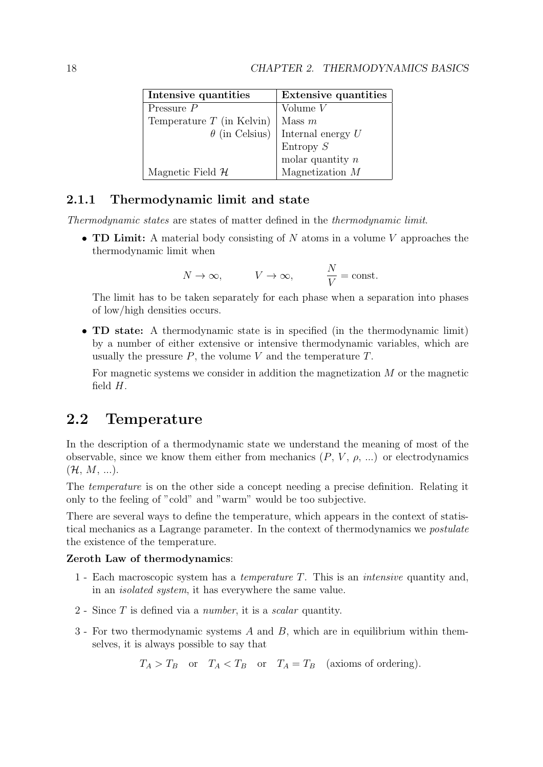| Intensive quantities         | <b>Extensive quantities</b> |
|------------------------------|-----------------------------|
| Pressure $P$                 | Volume $V$                  |
| Temperature $T$ (in Kelvin)  | Mass $m$                    |
| $\theta$ (in Celsius)        | Internal energy $U$         |
|                              | Entropy S                   |
|                              | molar quantity $n$          |
| Magnetic Field $\mathcal{H}$ | Magnetization $M$           |

### 2.1.1 Thermodynamic limit and state

Thermodynamic states are states of matter defined in the thermodynamic limit.

• **TD Limit:** A material body consisting of  $N$  atoms in a volume  $V$  approaches the thermodynamic limit when

$$
N \to \infty
$$
,  $V \to \infty$ ,  $\frac{N}{V} = \text{const.}$ 

The limit has to be taken separately for each phase when a separation into phases of low/high densities occurs.

• TD state: A thermodynamic state is in specified (in the thermodynamic limit) by a number of either extensive or intensive thermodynamic variables, which are usually the pressure  $P$ , the volume  $V$  and the temperature  $T$ .

For magnetic systems we consider in addition the magnetization  $M$  or the magnetic field  $H$ .

### 2.2 Temperature

In the description of a thermodynamic state we understand the meaning of most of the observable, since we know them either from mechanics  $(P, V, \rho, ...)$  or electrodynamics  $({\cal H}, M, ...).$ 

The temperature is on the other side a concept needing a precise definition. Relating it only to the feeling of "cold" and "warm" would be too subjective.

There are several ways to define the temperature, which appears in the context of statistical mechanics as a Lagrange parameter. In the context of thermodynamics we postulate the existence of the temperature.

#### Zeroth Law of thermodynamics:

- 1 Each macroscopic system has a temperature T. This is an intensive quantity and, in an isolated system, it has everywhere the same value.
- 2 Since T is defined via a number, it is a scalar quantity.
- 3 For two thermodynamic systems A and B, which are in equilibrium within themselves, it is always possible to say that

 $T_A > T_B$  or  $T_A < T_B$  or  $T_A = T_B$  (axioms of ordering).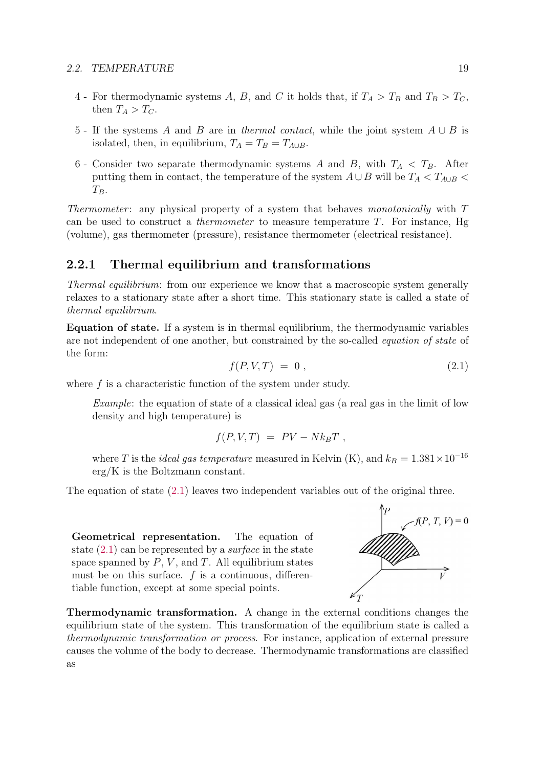- 4 For thermodynamic systems A, B, and C it holds that, if  $T_A > T_B$  and  $T_B > T_C$ , then  $T_A > T_C$ .
- 5 If the systems A and B are in thermal contact, while the joint system  $A \cup B$  is isolated, then, in equilibrium,  $T_A = T_B = T_{A \cup B}$ .
- 6 Consider two separate thermodynamic systems A and B, with  $T_A < T_B$ . After putting them in contact, the temperature of the system  $A \cup B$  will be  $T_A < T_{A \cup B}$  $T_B$ .

Thermometer: any physical property of a system that behaves monotonically with  $T$ can be used to construct a *thermometer* to measure temperature  $T$ . For instance, Hg (volume), gas thermometer (pressure), resistance thermometer (electrical resistance).

#### 2.2.1 Thermal equilibrium and transformations

Thermal equilibrium: from our experience we know that a macroscopic system generally relaxes to a stationary state after a short time. This stationary state is called a state of thermal equilibrium.

Equation of state. If a system is in thermal equilibrium, the thermodynamic variables are not independent of one another, but constrained by the so-called equation of state of the form:

$$
f(P, V, T) = 0 \tag{2.1}
$$

where  $f$  is a characteristic function of the system under study.

Example: the equation of state of a classical ideal gas (a real gas in the limit of low density and high temperature) is

$$
f(P, V, T) = PV - Nk_BT,
$$

where T is the *ideal gas temperature* measured in Kelvin (K), and  $k_B = 1.381 \times 10^{-16}$ erg/K is the Boltzmann constant.

The equation of state (2.1) leaves two independent variables out of the original three.

Geometrical representation. The equation of state  $(2.1)$  can be represented by a *surface* in the state space spanned by  $P$ ,  $V$ , and  $T$ . All equilibrium states must be on this surface.  $f$  is a continuous, differentiable function, except at some special points.



Thermodynamic transformation. A change in the external conditions changes the equilibrium state of the system. This transformation of the equilibrium state is called a thermodynamic transformation or process. For instance, application of external pressure causes the volume of the body to decrease. Thermodynamic transformations are classified as